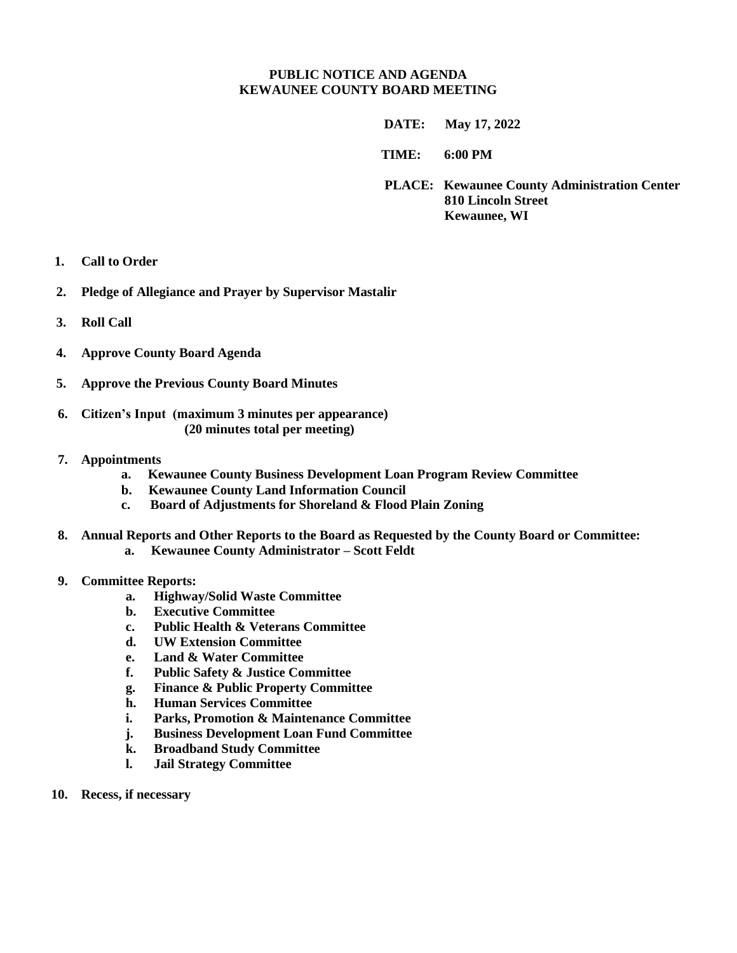## **PUBLIC NOTICE AND AGENDA KEWAUNEE COUNTY BOARD MEETING**

 **DATE: May 17, 2022**

**TIME: 6:00 PM** 

**PLACE: Kewaunee County Administration Center 810 Lincoln Street Kewaunee, WI**

- **1. Call to Order**
- **2. Pledge of Allegiance and Prayer by Supervisor Mastalir**
- **3. Roll Call**
- **4. Approve County Board Agenda**
- **5. Approve the Previous County Board Minutes**
- **6. Citizen's Input (maximum 3 minutes per appearance) (20 minutes total per meeting)**
- **7. Appointments**
	- **a. Kewaunee County Business Development Loan Program Review Committee**
	- **b. Kewaunee County Land Information Council**
	- **c. Board of Adjustments for Shoreland & Flood Plain Zoning**
- **8. Annual Reports and Other Reports to the Board as Requested by the County Board or Committee: a. Kewaunee County Administrator – Scott Feldt**
- **9. Committee Reports:**
	- **a. Highway/Solid Waste Committee**
	- **b. Executive Committee**
	- **c. Public Health & Veterans Committee**
	- **d. UW Extension Committee**
	- **e. Land & Water Committee**
	- **f. Public Safety & Justice Committee**
	- **g. Finance & Public Property Committee**
	- **h. Human Services Committee**
	- **i. Parks, Promotion & Maintenance Committee**
	- **j. Business Development Loan Fund Committee**
	- **k. Broadband Study Committee**
	- **l. Jail Strategy Committee**
- **10. Recess, if necessary**